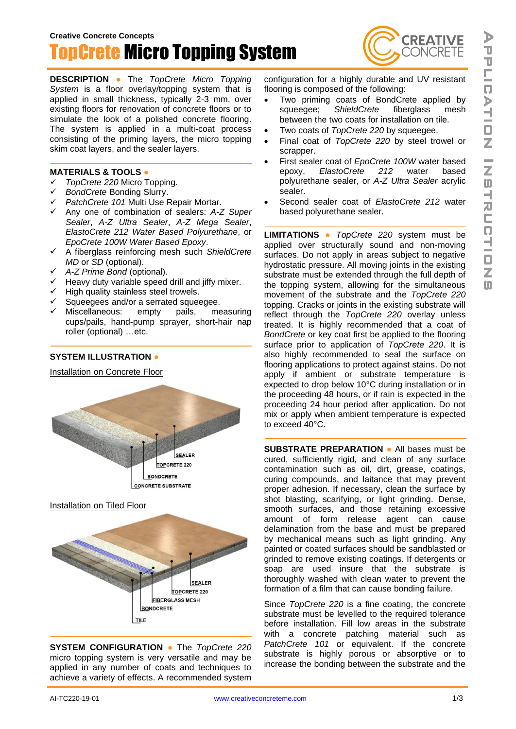

**DESCRIPTION ●** The *TopCrete Micro Topping System* is a floor overlay/topping system that is applied in small thickness, typically 2-3 mm, over existing floors for renovation of concrete floors or to simulate the look of a polished concrete flooring. The system is applied in a multi-coat process consisting of the priming layers, the micro topping skim coat layers, and the sealer layers.

## **MATERIALS & TOOLS ●**

- ✓ *TopCrete 220* Micro Topping.
- ✓ *BondCrete* Bonding Slurry.
- ✓ *PatchCrete 101* Multi Use Repair Mortar.
- ✓ Any one of combination of sealers: *A-Z Super Sealer*, *A-Z Ultra Sealer*, *A-Z Mega Sealer*, *ElastoCrete 212 Water Based Polyurethane*, or *EpoCrete 100W Water Based Epoxy*.
- ✓ A fiberglass reinforcing mesh such *ShieldCrete MD* or *SD* (optional).
- ✓ *A-Z Prime Bond* (optional).
- $\checkmark$  Heavy duty variable speed drill and jiffy mixer.
- ✓ High quality stainless steel trowels.
- Squeegees and/or a serrated squeegee.
- Miscellaneous: empty pails, measuring cups/pails, hand-pump sprayer, short-hair nap roller (optional) …etc.

## **SYSTEM ILLUSTRATION ●**

Installation on Concrete Floor



**SYSTEM CONFIGURATION ●** The *TopCrete 220* micro topping system is very versatile and may be applied in any number of coats and techniques to achieve a variety of effects. A recommended system

configuration for a highly durable and UV resistant flooring is composed of the following:

**CREATIVE** 

- Two priming coats of BondCrete applied by squeegee; *ShieldCrete* fiberglass mesh between the two coats for installation on tile.
- Two coats of *TopCrete 220* by squeegee.
- Final coat of *TopCrete 220* by steel trowel or scrapper.
- First sealer coat of *EpoCrete 100W* water based epoxy, *ElastoCrete 212* water based polyurethane sealer, or *A-Z Ultra Sealer* acrylic sealer.
- Second sealer coat of *ElastoCrete 212* water based polyurethane sealer.

**LIMITATIONS ●** *TopCrete 220* system must be applied over structurally sound and non-moving surfaces. Do not apply in areas subject to negative hydrostatic pressure. All moving joints in the existing substrate must be extended through the full depth of the topping system, allowing for the simultaneous movement of the substrate and the *TopCrete 220* topping. Cracks or joints in the existing substrate will reflect through the *TopCrete 220* overlay unless treated. It is highly recommended that a coat of *BondCrete* or key coat first be applied to the flooring surface prior to application of *TopCrete 220*. It is also highly recommended to seal the surface on flooring applications to protect against stains. Do not apply if ambient or substrate temperature is expected to drop below 10°C during installation or in the proceeding 48 hours, or if rain is expected in the proceeding 24 hour period after application. Do not mix or apply when ambient temperature is expected to exceed 40°C.

**SUBSTRATE PREPARATION ●** All bases must be cured, sufficiently rigid, and clean of any surface contamination such as oil, dirt, grease, coatings, curing compounds, and laitance that may prevent proper adhesion. If necessary, clean the surface by shot blasting, scarifying, or light grinding. Dense, smooth surfaces, and those retaining excessive amount of form release agent can cause delamination from the base and must be prepared by mechanical means such as light grinding. Any painted or coated surfaces should be sandblasted or grinded to remove existing coatings. If detergents or soap are used insure that the substrate is thoroughly washed with clean water to prevent the formation of a film that can cause bonding failure.

Since *TopCrete 220* is a fine coating, the concrete substrate must be levelled to the required tolerance before installation. Fill low areas in the substrate with a concrete patching material such as *PatchCrete 101* or equivalent. If the concrete substrate is highly porous or absorptive or to increase the bonding between the substrate and the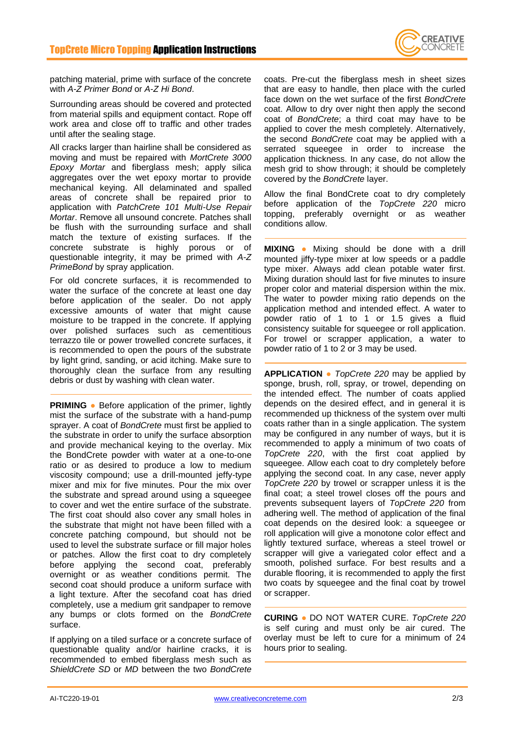

patching material, prime with surface of the concrete with *A-Z Primer Bond* or *A-Z Hi Bond*.

Surrounding areas should be covered and protected from material spills and equipment contact. Rope off work area and close off to traffic and other trades until after the sealing stage.

All cracks larger than hairline shall be considered as moving and must be repaired with *MortCrete 3000 Epoxy Mortar* and fiberglass mesh; apply silica aggregates over the wet epoxy mortar to provide mechanical keying. All delaminated and spalled areas of concrete shall be repaired prior to application with *PatchCrete 101 Multi-Use Repair Mortar*. Remove all unsound concrete. Patches shall be flush with the surrounding surface and shall match the texture of existing surfaces. If the concrete substrate is highly porous or of questionable integrity, it may be primed with *A-Z PrimeBond* by spray application.

For old concrete surfaces, it is recommended to water the surface of the concrete at least one day before application of the sealer. Do not apply excessive amounts of water that might cause moisture to be trapped in the concrete. If applying over polished surfaces such as cementitious terrazzo tile or power trowelled concrete surfaces, it is recommended to open the pours of the substrate by light grind, sanding, or acid itching. Make sure to thoroughly clean the surface from any resulting debris or dust by washing with clean water.

**PRIMING •** Before application of the primer, lightly mist the surface of the substrate with a hand-pump sprayer. A coat of *BondCrete* must first be applied to the substrate in order to unify the surface absorption and provide mechanical keying to the overlay. Mix the BondCrete powder with water at a one-to-one ratio or as desired to produce a low to medium viscosity compound; use a drill-mounted jeffy-type mixer and mix for five minutes. Pour the mix over the substrate and spread around using a squeegee to cover and wet the entire surface of the substrate. The first coat should also cover any small holes in the substrate that might not have been filled with a concrete patching compound, but should not be used to level the substrate surface or fill major holes or patches. Allow the first coat to dry completely before applying the second coat, preferably overnight or as weather conditions permit. The second coat should produce a uniform surface with a light texture. After the secofand coat has dried completely, use a medium grit sandpaper to remove any bumps or clots formed on the *BondCrete* surface.

If applying on a tiled surface or a concrete surface of questionable quality and/or hairline cracks, it is recommended to embed fiberglass mesh such as *ShieldCrete SD* or *MD* between the two *BondCrete* coats. Pre-cut the fiberglass mesh in sheet sizes that are easy to handle, then place with the curled face down on the wet surface of the first *BondCrete* coat. Allow to dry over night then apply the second coat of *BondCrete*; a third coat may have to be applied to cover the mesh completely. Alternatively, the second *BondCrete* coat may be applied with a serrated squeegee in order to increase the application thickness. In any case, do not allow the mesh grid to show through; it should be completely covered by the *BondCrete* layer.

Allow the final BondCrete coat to dry completely before application of the *TopCrete 220* micro topping, preferably overnight or as weather conditions allow.

**MIXING ●** Mixing should be done with a drill mounted jiffy-type mixer at low speeds or a paddle type mixer. Always add clean potable water first. Mixing duration should last for five minutes to insure proper color and material dispersion within the mix. The water to powder mixing ratio depends on the application method and intended effect. A water to powder ratio of 1 to 1 or 1.5 gives a fluid consistency suitable for squeegee or roll application. For trowel or scrapper application, a water to powder ratio of 1 to 2 or 3 may be used.

**APPLICATION ●** *TopCrete 220* may be applied by sponge, brush, roll, spray, or trowel, depending on the intended effect. The number of coats applied depends on the desired effect, and in general it is recommended up thickness of the system over multi coats rather than in a single application. The system may be configured in any number of ways, but it is recommended to apply a minimum of two coats of *TopCrete 220*, with the first coat applied by squeegee. Allow each coat to dry completely before applying the second coat. In any case, never apply *TopCrete 220* by trowel or scrapper unless it is the final coat; a steel trowel closes off the pours and prevents subsequent layers of *TopCrete 220* from adhering well. The method of application of the final coat depends on the desired look: a squeegee or roll application will give a monotone color effect and lightly textured surface, whereas a steel trowel or scrapper will give a variegated color effect and a smooth, polished surface. For best results and a durable flooring, it is recommended to apply the first two coats by squeegee and the final coat by trowel or scrapper.

**CURING ●** DO NOT WATER CURE. *TopCrete 220* is self curing and must only be air cured. The overlay must be left to cure for a minimum of 24 hours prior to sealing.